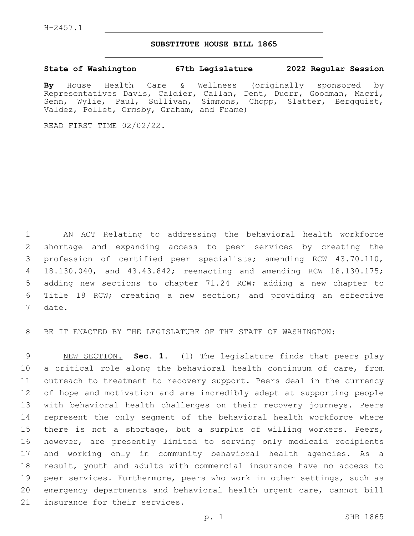## **SUBSTITUTE HOUSE BILL 1865**

## **State of Washington 67th Legislature 2022 Regular Session**

**By** House Health Care & Wellness (originally sponsored by Representatives Davis, Caldier, Callan, Dent, Duerr, Goodman, Macri, Senn, Wylie, Paul, Sullivan, Simmons, Chopp, Slatter, Bergquist, Valdez, Pollet, Ormsby, Graham, and Frame)

READ FIRST TIME 02/02/22.

 AN ACT Relating to addressing the behavioral health workforce shortage and expanding access to peer services by creating the profession of certified peer specialists; amending RCW 43.70.110, 18.130.040, and 43.43.842; reenacting and amending RCW 18.130.175; adding new sections to chapter 71.24 RCW; adding a new chapter to Title 18 RCW; creating a new section; and providing an effective 7 date.

BE IT ENACTED BY THE LEGISLATURE OF THE STATE OF WASHINGTON:

 NEW SECTION. **Sec. 1.** (1) The legislature finds that peers play a critical role along the behavioral health continuum of care, from outreach to treatment to recovery support. Peers deal in the currency of hope and motivation and are incredibly adept at supporting people with behavioral health challenges on their recovery journeys. Peers represent the only segment of the behavioral health workforce where there is not a shortage, but a surplus of willing workers. Peers, however, are presently limited to serving only medicaid recipients and working only in community behavioral health agencies. As a result, youth and adults with commercial insurance have no access to peer services. Furthermore, peers who work in other settings, such as emergency departments and behavioral health urgent care, cannot bill insurance for their services.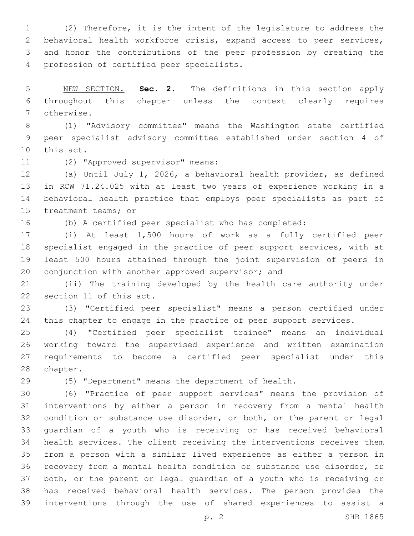(2) Therefore, it is the intent of the legislature to address the behavioral health workforce crisis, expand access to peer services, and honor the contributions of the peer profession by creating the 4 profession of certified peer specialists.

 NEW SECTION. **Sec. 2.** The definitions in this section apply throughout this chapter unless the context clearly requires otherwise.

 (1) "Advisory committee" means the Washington state certified peer specialist advisory committee established under section 4 of 10 this act.

11 (2) "Approved supervisor" means:

 (a) Until July 1, 2026, a behavioral health provider, as defined in RCW 71.24.025 with at least two years of experience working in a behavioral health practice that employs peer specialists as part of 15 treatment teams; or

(b) A certified peer specialist who has completed:

 (i) At least 1,500 hours of work as a fully certified peer specialist engaged in the practice of peer support services, with at least 500 hours attained through the joint supervision of peers in 20 conjunction with another approved supervisor; and

 (ii) The training developed by the health care authority under 22 section 11 of this act.

 (3) "Certified peer specialist" means a person certified under 24 this chapter to engage in the practice of peer support services.

 (4) "Certified peer specialist trainee" means an individual working toward the supervised experience and written examination requirements to become a certified peer specialist under this 28 chapter.

(5) "Department" means the department of health.

 (6) "Practice of peer support services" means the provision of interventions by either a person in recovery from a mental health condition or substance use disorder, or both, or the parent or legal guardian of a youth who is receiving or has received behavioral health services. The client receiving the interventions receives them from a person with a similar lived experience as either a person in recovery from a mental health condition or substance use disorder, or both, or the parent or legal guardian of a youth who is receiving or has received behavioral health services. The person provides the interventions through the use of shared experiences to assist a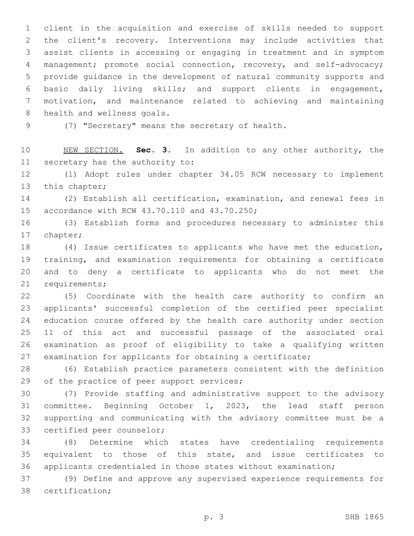client in the acquisition and exercise of skills needed to support the client's recovery. Interventions may include activities that assist clients in accessing or engaging in treatment and in symptom management; promote social connection, recovery, and self-advocacy; provide guidance in the development of natural community supports and basic daily living skills; and support clients in engagement, motivation, and maintenance related to achieving and maintaining 8 health and wellness goals.

9 (7) "Secretary" means the secretary of health.

 NEW SECTION. **Sec. 3.** In addition to any other authority, the secretary has the authority to:

 (1) Adopt rules under chapter 34.05 RCW necessary to implement 13 this chapter;

 (2) Establish all certification, examination, and renewal fees in 15 accordance with RCW 43.70.110 and 43.70.250;

 (3) Establish forms and procedures necessary to administer this 17 chapter;

 (4) Issue certificates to applicants who have met the education, training, and examination requirements for obtaining a certificate and to deny a certificate to applicants who do not meet the 21 requirements;

 (5) Coordinate with the health care authority to confirm an applicants' successful completion of the certified peer specialist education course offered by the health care authority under section 11 of this act and successful passage of the associated oral examination as proof of eligibility to take a qualifying written examination for applicants for obtaining a certificate;

 (6) Establish practice parameters consistent with the definition 29 of the practice of peer support services;

 (7) Provide staffing and administrative support to the advisory committee. Beginning October 1, 2023, the lead staff person supporting and communicating with the advisory committee must be a 33 certified peer counselor;

 (8) Determine which states have credentialing requirements equivalent to those of this state, and issue certificates to applicants credentialed in those states without examination;

 (9) Define and approve any supervised experience requirements for 38 certification;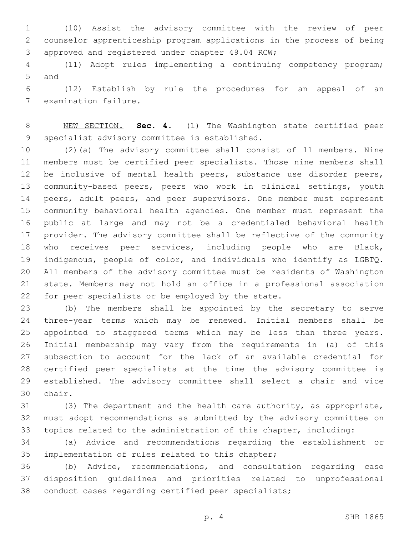(10) Assist the advisory committee with the review of peer counselor apprenticeship program applications in the process of being 3 approved and registered under chapter 49.04 RCW;

 (11) Adopt rules implementing a continuing competency program; 5 and

 (12) Establish by rule the procedures for an appeal of an 7 examination failure.

 NEW SECTION. **Sec. 4.** (1) The Washington state certified peer specialist advisory committee is established.

 (2)(a) The advisory committee shall consist of 11 members. Nine members must be certified peer specialists. Those nine members shall 12 be inclusive of mental health peers, substance use disorder peers, community-based peers, peers who work in clinical settings, youth 14 peers, adult peers, and peer supervisors. One member must represent community behavioral health agencies. One member must represent the public at large and may not be a credentialed behavioral health provider. The advisory committee shall be reflective of the community who receives peer services, including people who are Black, indigenous, people of color, and individuals who identify as LGBTQ. All members of the advisory committee must be residents of Washington state. Members may not hold an office in a professional association 22 for peer specialists or be employed by the state.

 (b) The members shall be appointed by the secretary to serve three-year terms which may be renewed. Initial members shall be appointed to staggered terms which may be less than three years. Initial membership may vary from the requirements in (a) of this subsection to account for the lack of an available credential for certified peer specialists at the time the advisory committee is established. The advisory committee shall select a chair and vice 30 chair.

 (3) The department and the health care authority, as appropriate, must adopt recommendations as submitted by the advisory committee on topics related to the administration of this chapter, including:

 (a) Advice and recommendations regarding the establishment or 35 implementation of rules related to this chapter;

 (b) Advice, recommendations, and consultation regarding case disposition guidelines and priorities related to unprofessional conduct cases regarding certified peer specialists;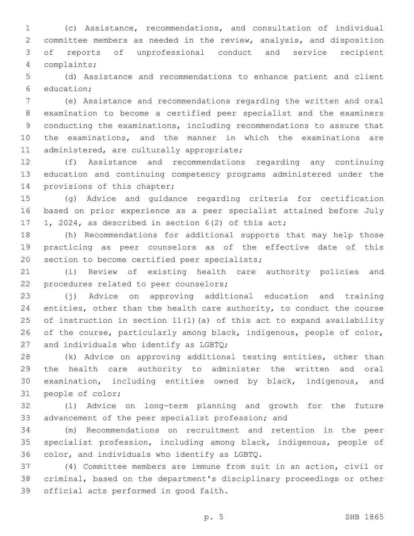(c) Assistance, recommendations, and consultation of individual committee members as needed in the review, analysis, and disposition of reports of unprofessional conduct and service recipient complaints;4

 (d) Assistance and recommendations to enhance patient and client 6 education;

 (e) Assistance and recommendations regarding the written and oral examination to become a certified peer specialist and the examiners conducting the examinations, including recommendations to assure that the examinations, and the manner in which the examinations are 11 administered, are culturally appropriate;

 (f) Assistance and recommendations regarding any continuing education and continuing competency programs administered under the 14 provisions of this chapter;

 (g) Advice and guidance regarding criteria for certification based on prior experience as a peer specialist attained before July 1, 2024, as described in section 6(2) of this act;

 (h) Recommendations for additional supports that may help those practicing as peer counselors as of the effective date of this 20 section to become certified peer specialists;

 (i) Review of existing health care authority policies and 22 procedures related to peer counselors;

 (j) Advice on approving additional education and training entities, other than the health care authority, to conduct the course of instruction in section 11(1)(a) of this act to expand availability 26 of the course, particularly among black, indigenous, people of color, 27 and individuals who identify as  $LGPQ$ ;

 (k) Advice on approving additional testing entities, other than the health care authority to administer the written and oral examination, including entities owned by black, indigenous, and 31 people of color;

 (l) Advice on long-term planning and growth for the future advancement of the peer specialist profession; and

 (m) Recommendations on recruitment and retention in the peer specialist profession, including among black, indigenous, people of 36 color, and individuals who identify as LGBTQ.

 (4) Committee members are immune from suit in an action, civil or criminal, based on the department's disciplinary proceedings or other 39 official acts performed in good faith.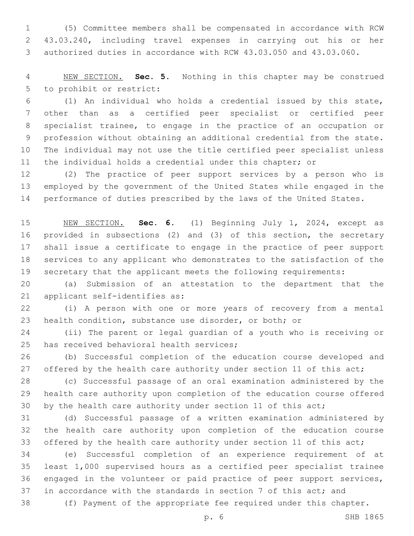(5) Committee members shall be compensated in accordance with RCW 43.03.240, including travel expenses in carrying out his or her authorized duties in accordance with RCW 43.03.050 and 43.03.060.

 NEW SECTION. **Sec. 5.** Nothing in this chapter may be construed to prohibit or restrict:

 (1) An individual who holds a credential issued by this state, other than as a certified peer specialist or certified peer specialist trainee, to engage in the practice of an occupation or profession without obtaining an additional credential from the state. The individual may not use the title certified peer specialist unless the individual holds a credential under this chapter; or

 (2) The practice of peer support services by a person who is employed by the government of the United States while engaged in the performance of duties prescribed by the laws of the United States.

 NEW SECTION. **Sec. 6.** (1) Beginning July 1, 2024, except as provided in subsections (2) and (3) of this section, the secretary shall issue a certificate to engage in the practice of peer support services to any applicant who demonstrates to the satisfaction of the secretary that the applicant meets the following requirements:

 (a) Submission of an attestation to the department that the 21 applicant self-identifies as:

 (i) A person with one or more years of recovery from a mental health condition, substance use disorder, or both; or

 (ii) The parent or legal guardian of a youth who is receiving or 25 has received behavioral health services;

 (b) Successful completion of the education course developed and 27 offered by the health care authority under section 11 of this act;

 (c) Successful passage of an oral examination administered by the health care authority upon completion of the education course offered 30 by the health care authority under section 11 of this act;

 (d) Successful passage of a written examination administered by the health care authority upon completion of the education course 33 offered by the health care authority under section 11 of this act;

 (e) Successful completion of an experience requirement of at least 1,000 supervised hours as a certified peer specialist trainee engaged in the volunteer or paid practice of peer support services, in accordance with the standards in section 7 of this act; and

(f) Payment of the appropriate fee required under this chapter.

p. 6 SHB 1865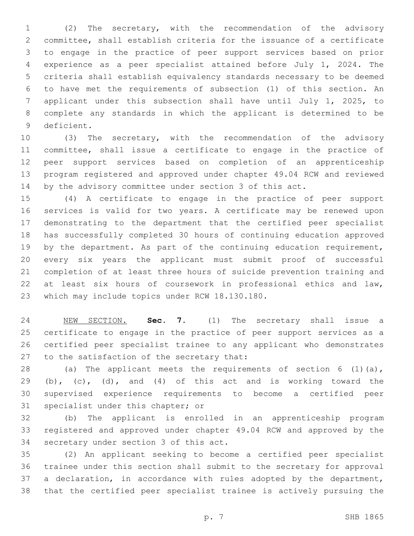(2) The secretary, with the recommendation of the advisory committee, shall establish criteria for the issuance of a certificate to engage in the practice of peer support services based on prior experience as a peer specialist attained before July 1, 2024. The criteria shall establish equivalency standards necessary to be deemed to have met the requirements of subsection (1) of this section. An applicant under this subsection shall have until July 1, 2025, to complete any standards in which the applicant is determined to be 9 deficient.

 (3) The secretary, with the recommendation of the advisory committee, shall issue a certificate to engage in the practice of peer support services based on completion of an apprenticeship program registered and approved under chapter 49.04 RCW and reviewed by the advisory committee under section 3 of this act.

 (4) A certificate to engage in the practice of peer support services is valid for two years. A certificate may be renewed upon demonstrating to the department that the certified peer specialist has successfully completed 30 hours of continuing education approved 19 by the department. As part of the continuing education requirement, every six years the applicant must submit proof of successful completion of at least three hours of suicide prevention training and at least six hours of coursework in professional ethics and law, 23 which may include topics under RCW 18.130.180.

 NEW SECTION. **Sec. 7.** (1) The secretary shall issue a certificate to engage in the practice of peer support services as a certified peer specialist trainee to any applicant who demonstrates to the satisfaction of the secretary that:

 (a) The applicant meets the requirements of section 6 (1)(a), (b), (c), (d), and (4) of this act and is working toward the supervised experience requirements to become a certified peer 31 specialist under this chapter; or

 (b) The applicant is enrolled in an apprenticeship program registered and approved under chapter 49.04 RCW and approved by the 34 secretary under section 3 of this act.

 (2) An applicant seeking to become a certified peer specialist trainee under this section shall submit to the secretary for approval a declaration, in accordance with rules adopted by the department, that the certified peer specialist trainee is actively pursuing the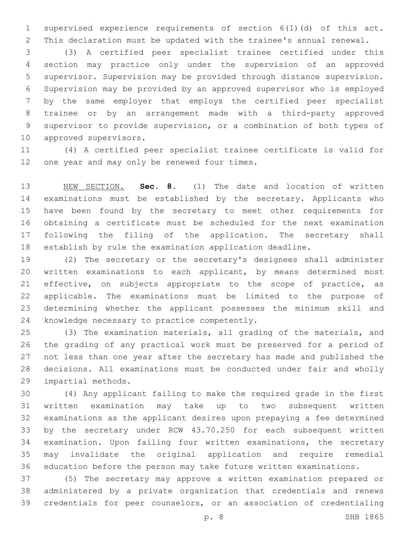supervised experience requirements of section 6(1)(d) of this act. This declaration must be updated with the trainee's annual renewal.

 (3) A certified peer specialist trainee certified under this section may practice only under the supervision of an approved supervisor. Supervision may be provided through distance supervision. Supervision may be provided by an approved supervisor who is employed by the same employer that employs the certified peer specialist trainee or by an arrangement made with a third-party approved supervisor to provide supervision, or a combination of both types of 10 approved supervisors.

 (4) A certified peer specialist trainee certificate is valid for 12 one year and may only be renewed four times.

 NEW SECTION. **Sec. 8.** (1) The date and location of written examinations must be established by the secretary. Applicants who have been found by the secretary to meet other requirements for obtaining a certificate must be scheduled for the next examination 17 following the filing of the application. The secretary shall establish by rule the examination application deadline.

 (2) The secretary or the secretary's designees shall administer written examinations to each applicant, by means determined most 21 effective, on subjects appropriate to the scope of practice, as applicable. The examinations must be limited to the purpose of determining whether the applicant possesses the minimum skill and 24 knowledge necessary to practice competently.

 (3) The examination materials, all grading of the materials, and the grading of any practical work must be preserved for a period of not less than one year after the secretary has made and published the decisions. All examinations must be conducted under fair and wholly 29 impartial methods.

 (4) Any applicant failing to make the required grade in the first written examination may take up to two subsequent written examinations as the applicant desires upon prepaying a fee determined by the secretary under RCW 43.70.250 for each subsequent written examination. Upon failing four written examinations, the secretary may invalidate the original application and require remedial education before the person may take future written examinations.

 (5) The secretary may approve a written examination prepared or administered by a private organization that credentials and renews credentials for peer counselors, or an association of credentialing

p. 8 SHB 1865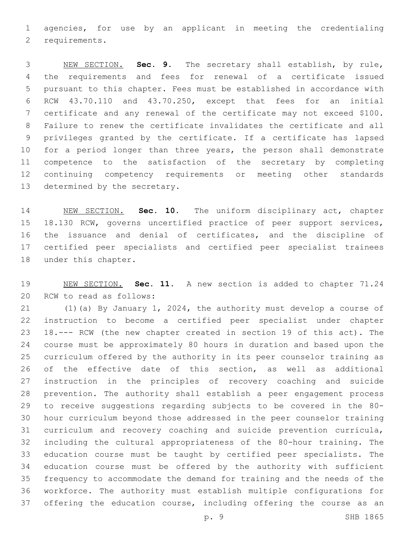agencies, for use by an applicant in meeting the credentialing 2 requirements.

 NEW SECTION. **Sec. 9.** The secretary shall establish, by rule, the requirements and fees for renewal of a certificate issued pursuant to this chapter. Fees must be established in accordance with RCW 43.70.110 and 43.70.250, except that fees for an initial certificate and any renewal of the certificate may not exceed \$100. Failure to renew the certificate invalidates the certificate and all privileges granted by the certificate. If a certificate has lapsed 10 for a period longer than three years, the person shall demonstrate competence to the satisfaction of the secretary by completing continuing competency requirements or meeting other standards determined by the secretary.

 NEW SECTION. **Sec. 10.** The uniform disciplinary act, chapter 18.130 RCW, governs uncertified practice of peer support services, the issuance and denial of certificates, and the discipline of certified peer specialists and certified peer specialist trainees under this chapter.

 NEW SECTION. **Sec. 11.** A new section is added to chapter 71.24 20 RCW to read as follows:

 (1)(a) By January 1, 2024, the authority must develop a course of instruction to become a certified peer specialist under chapter 18.--- RCW (the new chapter created in section 19 of this act). The course must be approximately 80 hours in duration and based upon the curriculum offered by the authority in its peer counselor training as of the effective date of this section, as well as additional instruction in the principles of recovery coaching and suicide prevention. The authority shall establish a peer engagement process to receive suggestions regarding subjects to be covered in the 80- hour curriculum beyond those addressed in the peer counselor training curriculum and recovery coaching and suicide prevention curricula, including the cultural appropriateness of the 80-hour training. The education course must be taught by certified peer specialists. The education course must be offered by the authority with sufficient frequency to accommodate the demand for training and the needs of the workforce. The authority must establish multiple configurations for 37 offering the education course, including offering the course as an

p. 9 SHB 1865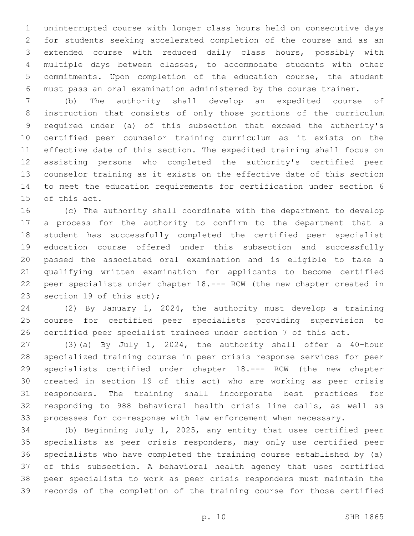uninterrupted course with longer class hours held on consecutive days for students seeking accelerated completion of the course and as an extended course with reduced daily class hours, possibly with multiple days between classes, to accommodate students with other commitments. Upon completion of the education course, the student must pass an oral examination administered by the course trainer.

 (b) The authority shall develop an expedited course of instruction that consists of only those portions of the curriculum required under (a) of this subsection that exceed the authority's certified peer counselor training curriculum as it exists on the effective date of this section. The expedited training shall focus on assisting persons who completed the authority's certified peer counselor training as it exists on the effective date of this section to meet the education requirements for certification under section 6 15 of this act.

 (c) The authority shall coordinate with the department to develop a process for the authority to confirm to the department that a student has successfully completed the certified peer specialist education course offered under this subsection and successfully passed the associated oral examination and is eligible to take a qualifying written examination for applicants to become certified peer specialists under chapter 18.--- RCW (the new chapter created in 23 section 19 of this act);

 (2) By January 1, 2024, the authority must develop a training course for certified peer specialists providing supervision to certified peer specialist trainees under section 7 of this act.

 (3)(a) By July 1, 2024, the authority shall offer a 40-hour specialized training course in peer crisis response services for peer specialists certified under chapter 18.--- RCW (the new chapter created in section 19 of this act) who are working as peer crisis responders. The training shall incorporate best practices for responding to 988 behavioral health crisis line calls, as well as processes for co-response with law enforcement when necessary.

 (b) Beginning July 1, 2025, any entity that uses certified peer specialists as peer crisis responders, may only use certified peer specialists who have completed the training course established by (a) of this subsection. A behavioral health agency that uses certified peer specialists to work as peer crisis responders must maintain the records of the completion of the training course for those certified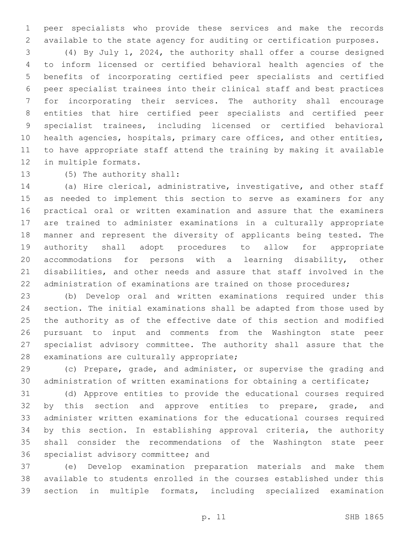peer specialists who provide these services and make the records available to the state agency for auditing or certification purposes.

 (4) By July 1, 2024, the authority shall offer a course designed to inform licensed or certified behavioral health agencies of the benefits of incorporating certified peer specialists and certified peer specialist trainees into their clinical staff and best practices for incorporating their services. The authority shall encourage entities that hire certified peer specialists and certified peer specialist trainees, including licensed or certified behavioral health agencies, hospitals, primary care offices, and other entities, to have appropriate staff attend the training by making it available 12 in multiple formats.

13 (5) The authority shall:

 (a) Hire clerical, administrative, investigative, and other staff as needed to implement this section to serve as examiners for any practical oral or written examination and assure that the examiners are trained to administer examinations in a culturally appropriate manner and represent the diversity of applicants being tested. The authority shall adopt procedures to allow for appropriate accommodations for persons with a learning disability, other disabilities, and other needs and assure that staff involved in the 22 administration of examinations are trained on those procedures;

 (b) Develop oral and written examinations required under this section. The initial examinations shall be adapted from those used by the authority as of the effective date of this section and modified pursuant to input and comments from the Washington state peer specialist advisory committee. The authority shall assure that the 28 examinations are culturally appropriate;

 (c) Prepare, grade, and administer, or supervise the grading and administration of written examinations for obtaining a certificate;

 (d) Approve entities to provide the educational courses required 32 by this section and approve entities to prepare, grade, and administer written examinations for the educational courses required by this section. In establishing approval criteria, the authority shall consider the recommendations of the Washington state peer 36 specialist advisory committee; and

 (e) Develop examination preparation materials and make them available to students enrolled in the courses established under this section in multiple formats, including specialized examination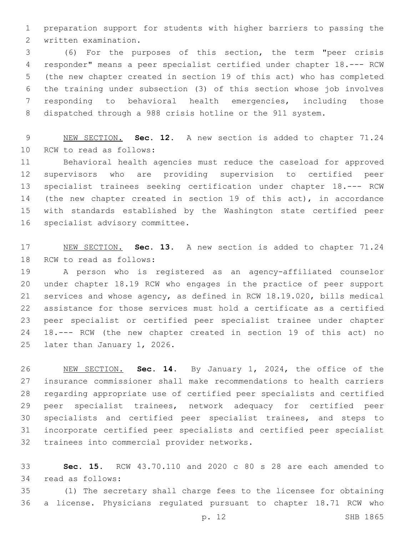preparation support for students with higher barriers to passing the 2 written examination.

 (6) For the purposes of this section, the term "peer crisis responder" means a peer specialist certified under chapter 18.--- RCW (the new chapter created in section 19 of this act) who has completed the training under subsection (3) of this section whose job involves responding to behavioral health emergencies, including those dispatched through a 988 crisis hotline or the 911 system.

 NEW SECTION. **Sec. 12.** A new section is added to chapter 71.24 10 RCW to read as follows:

 Behavioral health agencies must reduce the caseload for approved supervisors who are providing supervision to certified peer specialist trainees seeking certification under chapter 18.--- RCW 14 (the new chapter created in section 19 of this act), in accordance with standards established by the Washington state certified peer 16 specialist advisory committee.

 NEW SECTION. **Sec. 13.** A new section is added to chapter 71.24 18 RCW to read as follows:

 A person who is registered as an agency-affiliated counselor under chapter 18.19 RCW who engages in the practice of peer support services and whose agency, as defined in RCW 18.19.020, bills medical assistance for those services must hold a certificate as a certified peer specialist or certified peer specialist trainee under chapter 18.--- RCW (the new chapter created in section 19 of this act) no 25 later than January 1, 2026.

 NEW SECTION. **Sec. 14.** By January 1, 2024, the office of the insurance commissioner shall make recommendations to health carriers regarding appropriate use of certified peer specialists and certified peer specialist trainees, network adequacy for certified peer specialists and certified peer specialist trainees, and steps to incorporate certified peer specialists and certified peer specialist trainees into commercial provider networks.

 **Sec. 15.** RCW 43.70.110 and 2020 c 80 s 28 are each amended to read as follows:34

 (1) The secretary shall charge fees to the licensee for obtaining a license. Physicians regulated pursuant to chapter 18.71 RCW who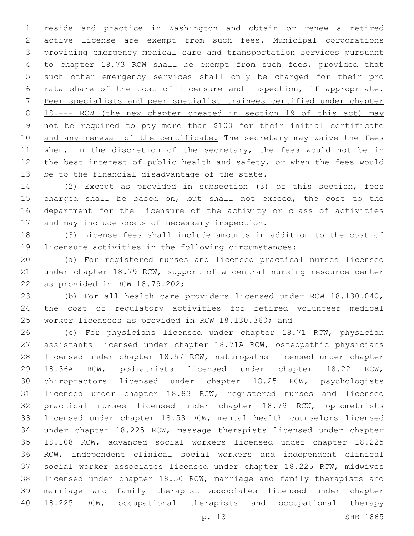reside and practice in Washington and obtain or renew a retired active license are exempt from such fees. Municipal corporations providing emergency medical care and transportation services pursuant to chapter 18.73 RCW shall be exempt from such fees, provided that such other emergency services shall only be charged for their pro rata share of the cost of licensure and inspection, if appropriate. Peer specialists and peer specialist trainees certified under chapter 18.--- RCW (the new chapter created in section 19 of this act) may not be required to pay more than \$100 for their initial certificate 10 and any renewal of the certificate. The secretary may waive the fees 11 when, in the discretion of the secretary, the fees would not be in 12 the best interest of public health and safety, or when the fees would 13 be to the financial disadvantage of the state.

 (2) Except as provided in subsection (3) of this section, fees charged shall be based on, but shall not exceed, the cost to the department for the licensure of the activity or class of activities 17 and may include costs of necessary inspection.

 (3) License fees shall include amounts in addition to the cost of licensure activities in the following circumstances:

 (a) For registered nurses and licensed practical nurses licensed under chapter 18.79 RCW, support of a central nursing resource center 22 as provided in RCW  $18.79.202$ ;

 (b) For all health care providers licensed under RCW 18.130.040, the cost of regulatory activities for retired volunteer medical worker licensees as provided in RCW 18.130.360; and

 (c) For physicians licensed under chapter 18.71 RCW, physician assistants licensed under chapter 18.71A RCW, osteopathic physicians licensed under chapter 18.57 RCW, naturopaths licensed under chapter 18.36A RCW, podiatrists licensed under chapter 18.22 RCW, chiropractors licensed under chapter 18.25 RCW, psychologists licensed under chapter 18.83 RCW, registered nurses and licensed practical nurses licensed under chapter 18.79 RCW, optometrists licensed under chapter 18.53 RCW, mental health counselors licensed under chapter 18.225 RCW, massage therapists licensed under chapter 18.108 RCW, advanced social workers licensed under chapter 18.225 RCW, independent clinical social workers and independent clinical social worker associates licensed under chapter 18.225 RCW, midwives licensed under chapter 18.50 RCW, marriage and family therapists and marriage and family therapist associates licensed under chapter 18.225 RCW, occupational therapists and occupational therapy

p. 13 SHB 1865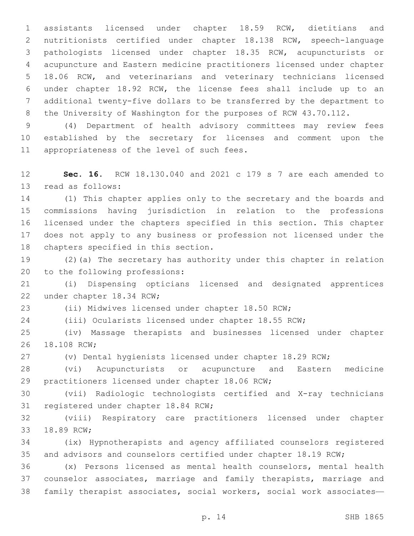assistants licensed under chapter 18.59 RCW, dietitians and nutritionists certified under chapter 18.138 RCW, speech-language pathologists licensed under chapter 18.35 RCW, acupuncturists or acupuncture and Eastern medicine practitioners licensed under chapter 18.06 RCW, and veterinarians and veterinary technicians licensed under chapter 18.92 RCW, the license fees shall include up to an additional twenty-five dollars to be transferred by the department to 8 the University of Washington for the purposes of RCW 43.70.112.

 (4) Department of health advisory committees may review fees established by the secretary for licenses and comment upon the 11 appropriateness of the level of such fees.

 **Sec. 16.** RCW 18.130.040 and 2021 c 179 s 7 are each amended to 13 read as follows:

 (1) This chapter applies only to the secretary and the boards and commissions having jurisdiction in relation to the professions licensed under the chapters specified in this section. This chapter does not apply to any business or profession not licensed under the 18 chapters specified in this section.

 (2)(a) The secretary has authority under this chapter in relation 20 to the following professions:

 (i) Dispensing opticians licensed and designated apprentices 22 under chapter 18.34 RCW;

(ii) Midwives licensed under chapter 18.50 RCW;

(iii) Ocularists licensed under chapter 18.55 RCW;

 (iv) Massage therapists and businesses licensed under chapter 26 18.108 RCW;

(v) Dental hygienists licensed under chapter 18.29 RCW;

 (vi) Acupuncturists or acupuncture and Eastern medicine 29 practitioners licensed under chapter 18.06 RCW;

 (vii) Radiologic technologists certified and X-ray technicians 31 registered under chapter 18.84 RCW;

 (viii) Respiratory care practitioners licensed under chapter 33 18.89 RCW;

 (ix) Hypnotherapists and agency affiliated counselors registered 35 and advisors and counselors certified under chapter 18.19 RCW;

 (x) Persons licensed as mental health counselors, mental health counselor associates, marriage and family therapists, marriage and family therapist associates, social workers, social work associates—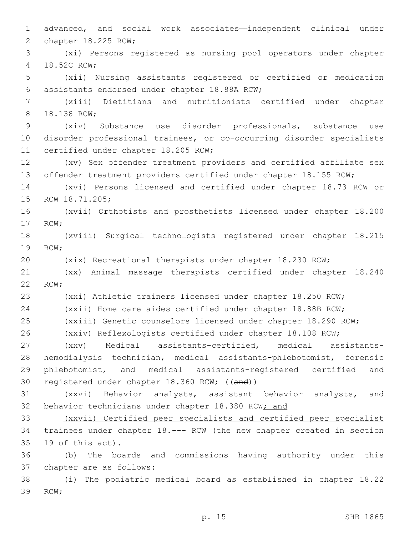advanced, and social work associates—independent clinical under 2 chapter 18.225 RCW; (xi) Persons registered as nursing pool operators under chapter 4 18.52C RCW; (xii) Nursing assistants registered or certified or medication 6 assistants endorsed under chapter 18.88A RCW; (xiii) Dietitians and nutritionists certified under chapter 8 18.138 RCW; (xiv) Substance use disorder professionals, substance use disorder professional trainees, or co-occurring disorder specialists 11 certified under chapter 18.205 RCW; (xv) Sex offender treatment providers and certified affiliate sex offender treatment providers certified under chapter 18.155 RCW; (xvi) Persons licensed and certified under chapter 18.73 RCW or 15 RCW 18.71.205; (xvii) Orthotists and prosthetists licensed under chapter 18.200 17 RCW; (xviii) Surgical technologists registered under chapter 18.215 19 RCW; (xix) Recreational therapists under chapter 18.230 RCW; (xx) Animal massage therapists certified under chapter 18.240 22 RCW; (xxi) Athletic trainers licensed under chapter 18.250 RCW; (xxii) Home care aides certified under chapter 18.88B RCW; (xxiii) Genetic counselors licensed under chapter 18.290 RCW; (xxiv) Reflexologists certified under chapter 18.108 RCW; (xxv) Medical assistants-certified, medical assistants- hemodialysis technician, medical assistants-phlebotomist, forensic phlebotomist, and medical assistants-registered certified and registered under chapter 18.360 RCW; ((and)) (xxvi) Behavior analysts, assistant behavior analysts, and 32 behavior technicians under chapter 18.380 RCW; and (xxvii) Certified peer specialists and certified peer specialist trainees under chapter 18.--- RCW (the new chapter created in section  $19$  of this act). (b) The boards and commissions having authority under this 37 chapter are as follows: (i) The podiatric medical board as established in chapter 18.22 39 RCW;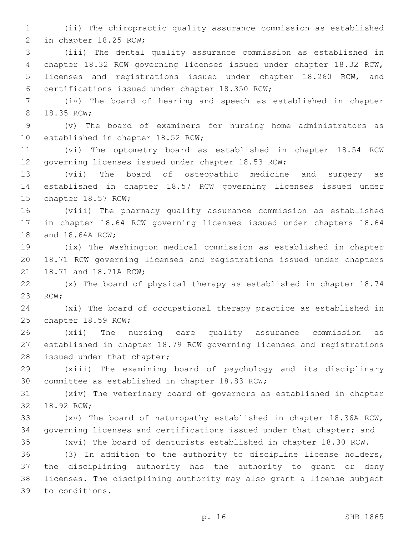(ii) The chiropractic quality assurance commission as established 2 in chapter 18.25 RCW;

 (iii) The dental quality assurance commission as established in chapter 18.32 RCW governing licenses issued under chapter 18.32 RCW, licenses and registrations issued under chapter 18.260 RCW, and 6 certifications issued under chapter 18.350 RCW;

 (iv) The board of hearing and speech as established in chapter 8 18.35 RCW;

 (v) The board of examiners for nursing home administrators as 10 established in chapter 18.52 RCW;

 (vi) The optometry board as established in chapter 18.54 RCW governing licenses issued under chapter 18.53 RCW;

 (vii) The board of osteopathic medicine and surgery as established in chapter 18.57 RCW governing licenses issued under 15 chapter 18.57 RCW;

 (viii) The pharmacy quality assurance commission as established in chapter 18.64 RCW governing licenses issued under chapters 18.64 18 and 18.64A RCW;

 (ix) The Washington medical commission as established in chapter 18.71 RCW governing licenses and registrations issued under chapters 21 18.71 and 18.71A RCW;

 (x) The board of physical therapy as established in chapter 18.74 23 RCW;

 (xi) The board of occupational therapy practice as established in 25 chapter 18.59 RCW;

 (xii) The nursing care quality assurance commission as established in chapter 18.79 RCW governing licenses and registrations 28 issued under that chapter;

 (xiii) The examining board of psychology and its disciplinary 30 committee as established in chapter 18.83 RCW;

 (xiv) The veterinary board of governors as established in chapter 32 18.92 RCW;

 (xv) The board of naturopathy established in chapter 18.36A RCW, governing licenses and certifications issued under that chapter; and (xvi) The board of denturists established in chapter 18.30 RCW.

 (3) In addition to the authority to discipline license holders, the disciplining authority has the authority to grant or deny licenses. The disciplining authority may also grant a license subject 39 to conditions.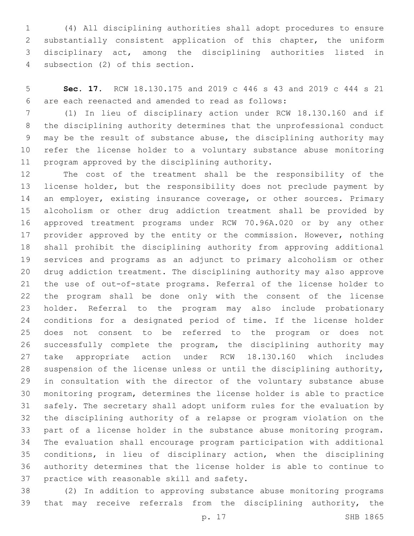(4) All disciplining authorities shall adopt procedures to ensure substantially consistent application of this chapter, the uniform disciplinary act, among the disciplining authorities listed in 4 subsection (2) of this section.

 **Sec. 17.** RCW 18.130.175 and 2019 c 446 s 43 and 2019 c 444 s 21 are each reenacted and amended to read as follows:6

 (1) In lieu of disciplinary action under RCW 18.130.160 and if the disciplining authority determines that the unprofessional conduct may be the result of substance abuse, the disciplining authority may refer the license holder to a voluntary substance abuse monitoring 11 program approved by the disciplining authority.

 The cost of the treatment shall be the responsibility of the license holder, but the responsibility does not preclude payment by 14 an employer, existing insurance coverage, or other sources. Primary alcoholism or other drug addiction treatment shall be provided by approved treatment programs under RCW 70.96A.020 or by any other provider approved by the entity or the commission. However, nothing shall prohibit the disciplining authority from approving additional services and programs as an adjunct to primary alcoholism or other drug addiction treatment. The disciplining authority may also approve the use of out-of-state programs. Referral of the license holder to the program shall be done only with the consent of the license holder. Referral to the program may also include probationary conditions for a designated period of time. If the license holder does not consent to be referred to the program or does not successfully complete the program, the disciplining authority may take appropriate action under RCW 18.130.160 which includes suspension of the license unless or until the disciplining authority, in consultation with the director of the voluntary substance abuse monitoring program, determines the license holder is able to practice safely. The secretary shall adopt uniform rules for the evaluation by the disciplining authority of a relapse or program violation on the part of a license holder in the substance abuse monitoring program. The evaluation shall encourage program participation with additional conditions, in lieu of disciplinary action, when the disciplining authority determines that the license holder is able to continue to 37 practice with reasonable skill and safety.

 (2) In addition to approving substance abuse monitoring programs 39 that may receive referrals from the disciplining authority, the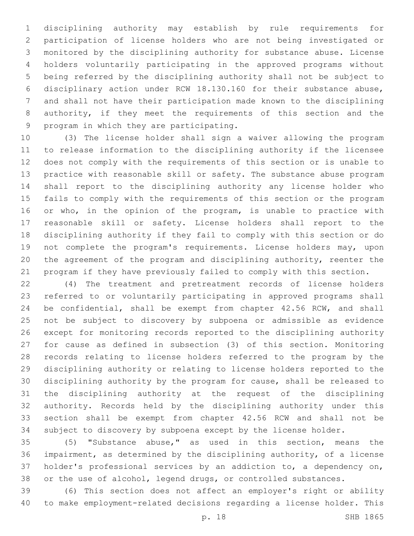disciplining authority may establish by rule requirements for participation of license holders who are not being investigated or monitored by the disciplining authority for substance abuse. License holders voluntarily participating in the approved programs without being referred by the disciplining authority shall not be subject to disciplinary action under RCW 18.130.160 for their substance abuse, and shall not have their participation made known to the disciplining authority, if they meet the requirements of this section and the 9 program in which they are participating.

 (3) The license holder shall sign a waiver allowing the program to release information to the disciplining authority if the licensee does not comply with the requirements of this section or is unable to practice with reasonable skill or safety. The substance abuse program shall report to the disciplining authority any license holder who fails to comply with the requirements of this section or the program 16 or who, in the opinion of the program, is unable to practice with reasonable skill or safety. License holders shall report to the disciplining authority if they fail to comply with this section or do not complete the program's requirements. License holders may, upon the agreement of the program and disciplining authority, reenter the program if they have previously failed to comply with this section.

 (4) The treatment and pretreatment records of license holders referred to or voluntarily participating in approved programs shall be confidential, shall be exempt from chapter 42.56 RCW, and shall not be subject to discovery by subpoena or admissible as evidence except for monitoring records reported to the disciplining authority for cause as defined in subsection (3) of this section. Monitoring records relating to license holders referred to the program by the disciplining authority or relating to license holders reported to the disciplining authority by the program for cause, shall be released to the disciplining authority at the request of the disciplining authority. Records held by the disciplining authority under this section shall be exempt from chapter 42.56 RCW and shall not be subject to discovery by subpoena except by the license holder.

 (5) "Substance abuse," as used in this section, means the impairment, as determined by the disciplining authority, of a license holder's professional services by an addiction to, a dependency on, or the use of alcohol, legend drugs, or controlled substances.

 (6) This section does not affect an employer's right or ability to make employment-related decisions regarding a license holder. This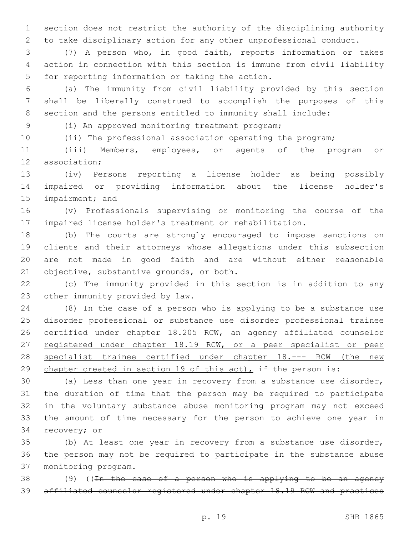section does not restrict the authority of the disciplining authority to take disciplinary action for any other unprofessional conduct.

 (7) A person who, in good faith, reports information or takes action in connection with this section is immune from civil liability 5 for reporting information or taking the action.

 (a) The immunity from civil liability provided by this section shall be liberally construed to accomplish the purposes of this section and the persons entitled to immunity shall include:

(i) An approved monitoring treatment program;9

(ii) The professional association operating the program;

 (iii) Members, employees, or agents of the program or 12 association;

 (iv) Persons reporting a license holder as being possibly impaired or providing information about the license holder's 15 impairment; and

 (v) Professionals supervising or monitoring the course of the impaired license holder's treatment or rehabilitation.

 (b) The courts are strongly encouraged to impose sanctions on clients and their attorneys whose allegations under this subsection are not made in good faith and are without either reasonable 21 objective, substantive grounds, or both.

 (c) The immunity provided in this section is in addition to any 23 other immunity provided by law.

 (8) In the case of a person who is applying to be a substance use disorder professional or substance use disorder professional trainee 26 certified under chapter 18.205 RCW, an agency affiliated counselor 27 registered under chapter 18.19 RCW, or a peer specialist or peer 28 specialist trainee certified under chapter 18.--- RCW (the new chapter created in section 19 of this act), if the person is:

 (a) Less than one year in recovery from a substance use disorder, the duration of time that the person may be required to participate in the voluntary substance abuse monitoring program may not exceed the amount of time necessary for the person to achieve one year in 34 recovery; or

 (b) At least one year in recovery from a substance use disorder, the person may not be required to participate in the substance abuse monitoring program.37

38 (9) ((<del>In the case of a person who is applying to be an agency</del> affiliated counselor registered under chapter 18.19 RCW and practices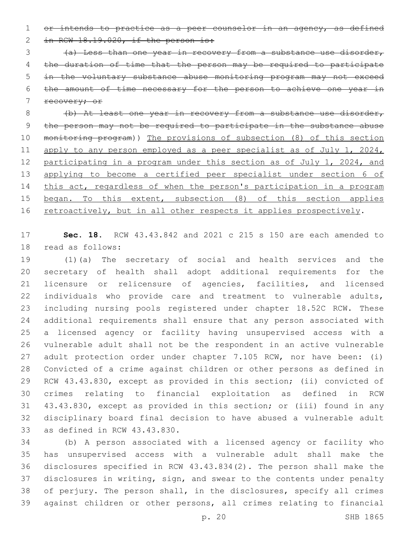1 or intends to practice as a peer counselor in an agency, as defined 2 in RCW  $18.19.020$ , if the person is:

 (a) Less than one year in recovery from a substance use disorder, the duration of time that the person may be required to participate in the voluntary substance abuse monitoring program may not exceed the amount of time necessary for the person to achieve one year in

recovery; or

 (b) At least one year in recovery from a substance use disorder, the person may not be required to participate in the substance abuse monitoring program)) The provisions of subsection (8) of this section 11 apply to any person employed as a peer specialist as of July 1, 2024, participating in a program under this section as of July 1, 2024, and applying to become a certified peer specialist under section 6 of 14 this act, regardless of when the person's participation in a program 15 began. To this extent, subsection (8) of this section applies 16 retroactively, but in all other respects it applies prospectively.

 **Sec. 18.** RCW 43.43.842 and 2021 c 215 s 150 are each amended to 18 read as follows:

 (1)(a) The secretary of social and health services and the secretary of health shall adopt additional requirements for the licensure or relicensure of agencies, facilities, and licensed individuals who provide care and treatment to vulnerable adults, including nursing pools registered under chapter 18.52C RCW. These additional requirements shall ensure that any person associated with a licensed agency or facility having unsupervised access with a vulnerable adult shall not be the respondent in an active vulnerable adult protection order under chapter 7.105 RCW, nor have been: (i) Convicted of a crime against children or other persons as defined in RCW 43.43.830, except as provided in this section; (ii) convicted of crimes relating to financial exploitation as defined in RCW 43.43.830, except as provided in this section; or (iii) found in any disciplinary board final decision to have abused a vulnerable adult 33 as defined in RCW 43.43.830.

 (b) A person associated with a licensed agency or facility who has unsupervised access with a vulnerable adult shall make the disclosures specified in RCW 43.43.834(2). The person shall make the disclosures in writing, sign, and swear to the contents under penalty of perjury. The person shall, in the disclosures, specify all crimes against children or other persons, all crimes relating to financial

p. 20 SHB 1865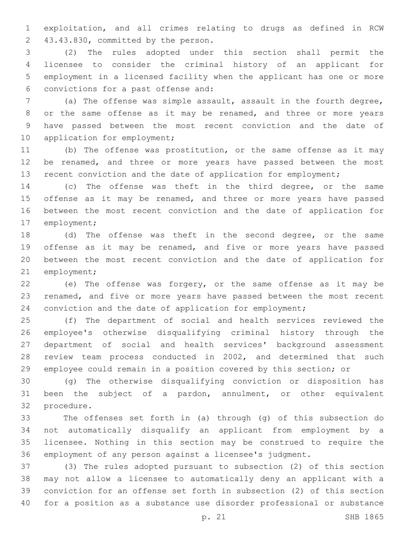exploitation, and all crimes relating to drugs as defined in RCW 43.43.830, committed by the person.2

 (2) The rules adopted under this section shall permit the licensee to consider the criminal history of an applicant for employment in a licensed facility when the applicant has one or more convictions for a past offense and:6

 (a) The offense was simple assault, assault in the fourth degree, or the same offense as it may be renamed, and three or more years have passed between the most recent conviction and the date of 10 application for employment;

 (b) The offense was prostitution, or the same offense as it may 12 be renamed, and three or more years have passed between the most 13 recent conviction and the date of application for employment;

 (c) The offense was theft in the third degree, or the same 15 offense as it may be renamed, and three or more years have passed between the most recent conviction and the date of application for 17 employment;

 (d) The offense was theft in the second degree, or the same offense as it may be renamed, and five or more years have passed between the most recent conviction and the date of application for 21 employment;

 (e) The offense was forgery, or the same offense as it may be renamed, and five or more years have passed between the most recent conviction and the date of application for employment;

 (f) The department of social and health services reviewed the employee's otherwise disqualifying criminal history through the department of social and health services' background assessment review team process conducted in 2002, and determined that such employee could remain in a position covered by this section; or

 (g) The otherwise disqualifying conviction or disposition has been the subject of a pardon, annulment, or other equivalent 32 procedure.

 The offenses set forth in (a) through (g) of this subsection do not automatically disqualify an applicant from employment by a licensee. Nothing in this section may be construed to require the employment of any person against a licensee's judgment.

 (3) The rules adopted pursuant to subsection (2) of this section may not allow a licensee to automatically deny an applicant with a conviction for an offense set forth in subsection (2) of this section for a position as a substance use disorder professional or substance

p. 21 SHB 1865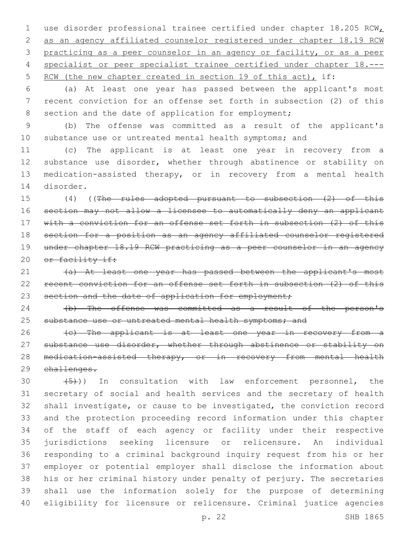1 use disorder professional trainee certified under chapter 18.205 RCW as an agency affiliated counselor registered under chapter 18.19 RCW practicing as a peer counselor in an agency or facility, or as a peer specialist or peer specialist trainee certified under chapter 18.--- 5 RCW (the new chapter created in section 19 of this act), if:

 (a) At least one year has passed between the applicant's most recent conviction for an offense set forth in subsection (2) of this 8 section and the date of application for employment;

 (b) The offense was committed as a result of the applicant's 10 substance use or untreated mental health symptoms; and

 (c) The applicant is at least one year in recovery from a 12 substance use disorder, whether through abstinence or stability on medication-assisted therapy, or in recovery from a mental health 14 disorder.

 (4) ((The rules adopted pursuant to subsection (2) of this section may not allow a licensee to automatically deny an applicant with a conviction for an offense set forth in subsection (2) of this section for a position as an agency affiliated counselor registered under chapter 18.19 RCW practicing as a peer counselor in an agency 20 or facility if:

21 (a) At least one year has passed between the applicant's most recent conviction for an offense set forth in subsection (2) of this 23 section and the date of application for employment;

24 (b) The offense was committed as a result of the person's 25 substance use or untreated mental health symptoms; and

26 (c) The applicant is at least one year in recovery from a 27 substance use disorder, whether through abstinence or stability on 28 medication-assisted therapy, or in recovery from mental health challenges.

 $(30 \t +5)$ ) In consultation with law enforcement personnel, the secretary of social and health services and the secretary of health shall investigate, or cause to be investigated, the conviction record and the protection proceeding record information under this chapter of the staff of each agency or facility under their respective jurisdictions seeking licensure or relicensure. An individual responding to a criminal background inquiry request from his or her employer or potential employer shall disclose the information about his or her criminal history under penalty of perjury. The secretaries shall use the information solely for the purpose of determining eligibility for licensure or relicensure. Criminal justice agencies

p. 22 SHB 1865